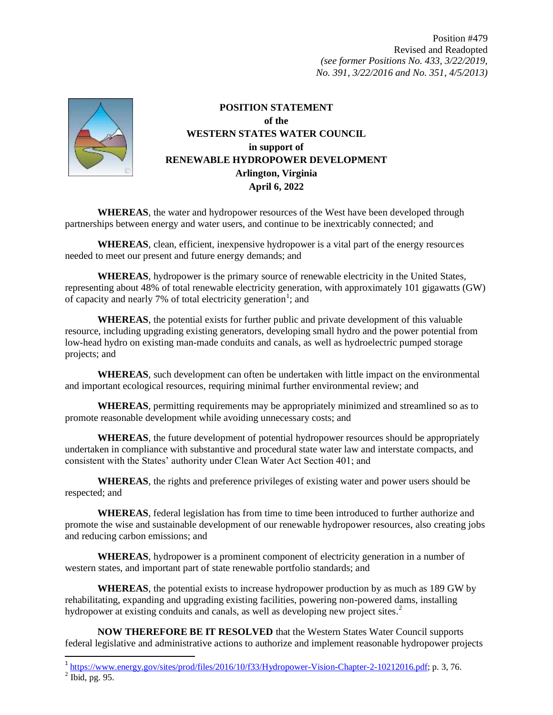Position #479 Revised and Readopted *(see former Positions No. 433, 3/22/2019, No. 391, 3/22/2016 and No. 351, 4/5/2013)*



**POSITION STATEMENT of the WESTERN STATES WATER COUNCIL in support of RENEWABLE HYDROPOWER DEVELOPMENT Arlington, Virginia April 6, 2022**

**WHEREAS**, the water and hydropower resources of the West have been developed through partnerships between energy and water users, and continue to be inextricably connected; and

**WHEREAS**, clean, efficient, inexpensive hydropower is a vital part of the energy resources needed to meet our present and future energy demands; and

**WHEREAS**, hydropower is the primary source of renewable electricity in the United States, representing about 48% of total renewable electricity generation, with approximately 101 gigawatts (GW) of capacity and nearly 7% of total electricity generation<sup>1</sup>; and

**WHEREAS**, the potential exists for further public and private development of this valuable resource, including upgrading existing generators, developing small hydro and the power potential from low-head hydro on existing man-made conduits and canals, as well as hydroelectric pumped storage projects; and

**WHEREAS**, such development can often be undertaken with little impact on the environmental and important ecological resources, requiring minimal further environmental review; and

**WHEREAS**, permitting requirements may be appropriately minimized and streamlined so as to promote reasonable development while avoiding unnecessary costs; and

**WHEREAS**, the future development of potential hydropower resources should be appropriately undertaken in compliance with substantive and procedural state water law and interstate compacts, and consistent with the States' authority under Clean Water Act Section 401; and

**WHEREAS**, the rights and preference privileges of existing water and power users should be respected; and

**WHEREAS**, federal legislation has from time to time been introduced to further authorize and promote the wise and sustainable development of our renewable hydropower resources, also creating jobs and reducing carbon emissions; and

**WHEREAS**, hydropower is a prominent component of electricity generation in a number of western states, and important part of state renewable portfolio standards; and

**WHEREAS**, the potential exists to increase hydropower production by as much as 189 GW by rehabilitating, expanding and upgrading existing facilities, powering non-powered dams, installing hydropower at existing conduits and canals, as well as developing new project sites.<sup>2</sup>

**NOW THEREFORE BE IT RESOLVED** that the Western States Water Council supports federal legislative and administrative actions to authorize and implement reasonable hydropower projects

 $\overline{a}$ 

 $1 \frac{\text{https://www.energy.gov/sites/prod/files/2016/10/f33/Hydropower-Vision-Chapter-2-10212016.pdf}}{$